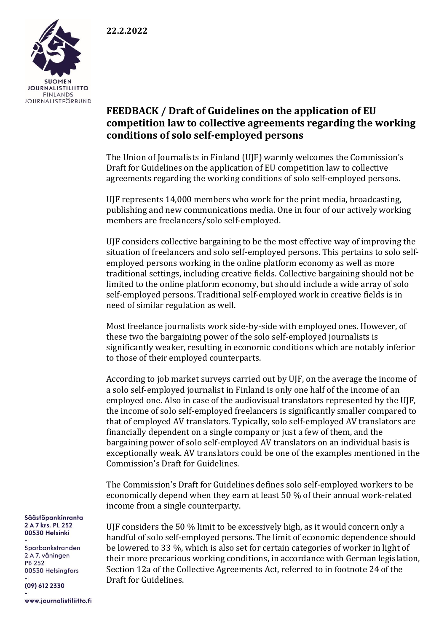

## **FEEDBACK / Draft of Guidelines on the application of EU competition law to collective agreements regarding the working conditions of solo self-employed persons**

The Union of Journalists in Finland (UJF) warmly welcomes the Commission's Draft for Guidelines on the application of EU competition law to collective agreements regarding the working conditions of solo self-employed persons.

UJF represents 14,000 members who work for the print media, broadcasting, publishing and new communications media. One in four of our actively working members are freelancers/solo self-employed.

UJF considers collective bargaining to be the most effective way of improving the situation of freelancers and solo self-employed persons. This pertains to solo selfemployed persons working in the online platform economy as well as more traditional settings, including creative fields. Collective bargaining should not be limited to the online platform economy, but should include a wide array of solo self-employed persons. Traditional self-employed work in creative fields is in need of similar regulation as well.

Most freelance journalists work side-by-side with employed ones. However, of these two the bargaining power of the solo self-employed journalists is significantly weaker, resulting in economic conditions which are notably inferior to those of their employed counterparts.

According to job market surveys carried out by UJF, on the average the income of a solo self-employed journalist in Finland is only one half of the income of an employed one. Also in case of the audiovisual translators represented by the UJF, the income of solo self-employed freelancers is significantly smaller compared to that of employed AV translators. Typically, solo self-employed AV translators are financially dependent on a single company or just a few of them, and the bargaining power of solo self-employed AV translators on an individual basis is exceptionally weak. AV translators could be one of the examples mentioned in the Commission's Draft for Guidelines.

The Commission's Draft for Guidelines defines solo self-employed workers to be economically depend when they earn at least 50 % of their annual work-related income from a single counterparty.

UJF considers the 50 % limit to be excessively high, as it would concern only a handful of solo self-employed persons. The limit of economic dependence should be lowered to 33 %, which is also set for certain categories of worker in light of their more precarious working conditions, in accordance with German legislation, Section 12a of the Collective Agreements Act, referred to in footnote 24 of the Draft for Guidelines.

Säästöpankinranta 2 A 7 krs. PL 252 00530 Helsinki

Sparbankstranden 2 A 7. våningen **PR 252** 00530 Helsingfors

(09) 612 2330

www.journalistiliitto.fi